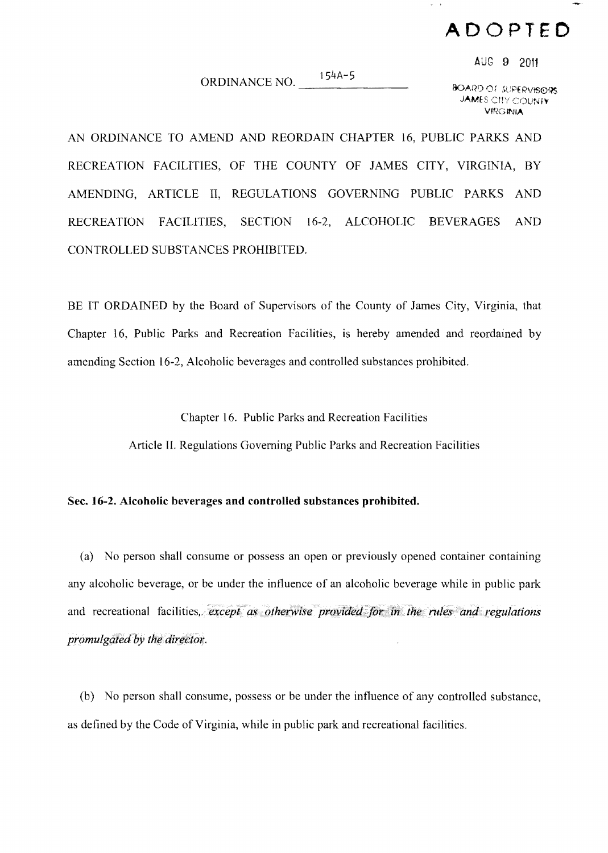## **ADOPTED**

AUG 9 2011

 $154A - 5$ ORDINANCE NO.

**BOARD OF JUPERVISORS JAMES CITY COUNTY VIRGINIA** 

AN ORDINANCE TO AMEND AND REORDAIN CHAPTER 16, PUBLIC PARKS AND RECREATION FACILITIES, OF THE COUNTY OF JAMES CITY, VIRGINIA, BY AMENDING. ARTICLE II. REGULATIONS GOVERNING PUBLIC PARKS AND RECREATION FACILITIES, SECTION 16-2, ALCOHOLIC **BEVERAGES AND** CONTROLLED SUBSTANCES PROHIBITED.

BE IT ORDAINED by the Board of Supervisors of the County of James City, Virginia, that Chapter 16, Public Parks and Recreation Facilities, is hereby amended and reordained by amending Section 16-2, Alcoholic beverages and controlled substances prohibited.

Chapter 16. Public Parks and Recreation Facilities

Article II. Regulations Governing Public Parks and Recreation Facilities

## Sec. 16-2. Alcoholic beverages and controlled substances prohibited.

(a) No person shall consume or possess an open or previously opened container containing any alcoholic beverage, or be under the influence of an alcoholic beverage while in public park and recreational facilities, except as otherwise provided for in the rules and regulations promulgated by the director.

(b) No person shall consume, possess or be under the influence of any controlled substance. as defined by the Code of Virginia, while in public park and recreational facilities.